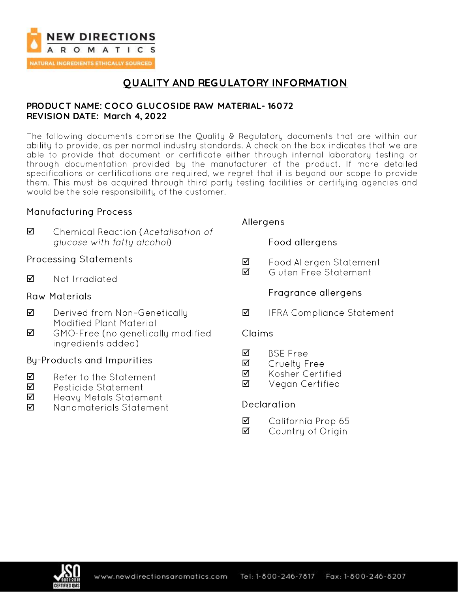

## **QUALITY AND REGULATORY INFORMATION**

### **PRODUC T NAME: C OC O GLUC OSIDE RAW MATERIAL- 16072 REVISION DATE: March 4, 2022**

The following documents comprise the Quality & Regulatory documents that are within our ability to provide, as per normal industry standards. A check on the box indicates that we are able to provide that document or certificate either through internal laboratory testing or through documentation provided by the manufacturer of the product. If more detailed specifications or certifications are required, we regret that it is beyond our scope to provide them. This must be acquired through third party testing facilities or certifying agencies and would be the sole responsibility of the customer.

### **Manufacturing Process**

☑ Chemical Reaction (Acetalisation of glucose with fatty alcohol)

### **Processing Statements**

☑ Not Irradiated

### **Raw Materials**

- $\triangledown$ Derived from Non-Genetically Modified Plant Material
- ☑ GMO-Free (no genetically modified ingredients added)

### **By-Products and Impurities**

- ☑ Refer to the Statement
- ☑ Pesticide Statement
- ☑ Heavy Metals Statement
- ☑ Nanomaterials Statement

### Allergens

Food allergens

- Food Allergen Statement ☑
- Gluten Free Statement ☑

### Fragrance allergens

☑ **IFRA Compliance Statement** 

### Claims

- **BSF Free** ☑
- Cruelty Free ☑
- ☑ Kosher Certified
- ☑ Vegan Certified

### **Declaration**

- ☑ California Prop 65
- ☑ Country of Origin

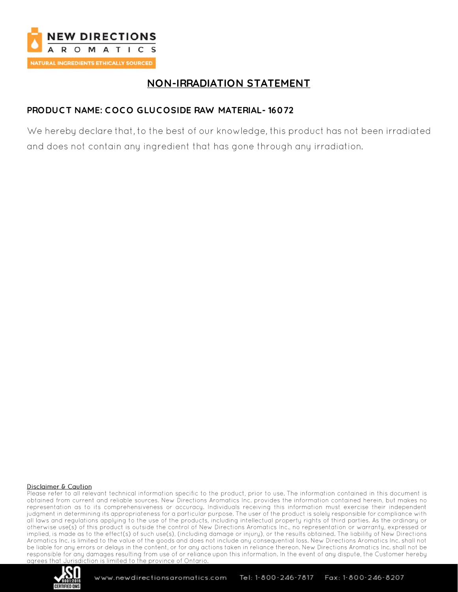

# **NON-IRRADIATION STATEMENT**

## **PRODUC T NAME: C OC O GLUC OSIDE RAW MATERIAL- 16072**

We hereby declare that, to the best of our knowledge, this product has not been irradiated and does not contain any ingredient that has gone through any irradiation.

#### Disclaimer & Caution

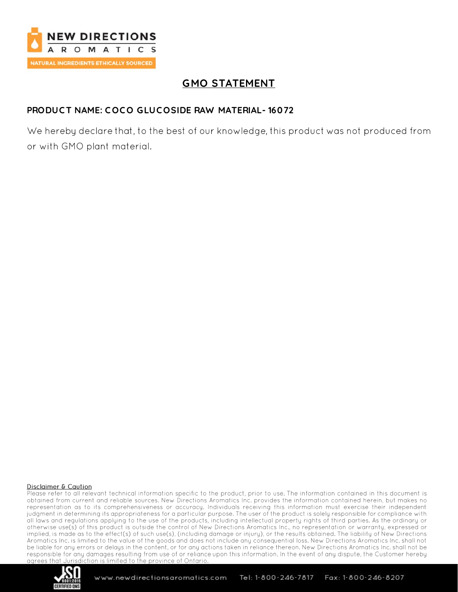

# **GMO STATEMENT**

### **PRODUC T NAME: C OC O GLUC OSIDE RAW MATERIAL- 16072**

We hereby declare that, to the best of our knowledge, this product was not produced from or with GMO plant material.

#### Disclaimer & Caution

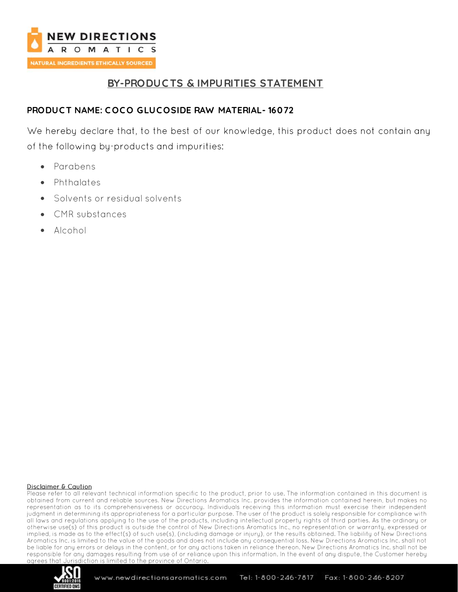

## **BY-PRODUC TS & IMPURITIES STATEMENT**

## PRODUCT NAME: COCO GLUCOSIDE RAW MATERIAL-16072

We hereby declare that, to the best of our knowledge, this product does not contain any of the following by-products and impurities:

- Parabens •
- Phthalates
- Solvents or residual solvents
- **CMR** substances
- Alcohol •

#### Disclaimer & Caution

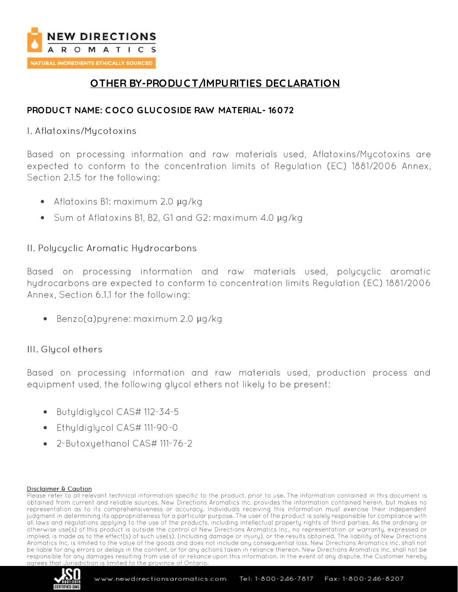

## **OTHER BY-PRODUC T/IMPURITIES DEC LARATION**

## **PRODUC T NAME: C OC O GLUC OSIDE RAW MATERIAL- 16072**

### I. Aflatoxins/Mycotoxins

Based on processing information and raw materials used, Aflatoxins/Mycotoxins are expected to conform to the concentration limits of Regulation (EC) 1881/2006 Annex, Section 2.1.5 for the following:

- Aflatoxins B1: maximum 2.0 µg/kg
- Sum of Aflatoxins B1, B2, G1 and G2: maximum 4.0 µg/kg

## II. Polycyclic Aromatic Hydrocarbons

Based on processing information and raw materials used, polycyclic aromatic hydrocarbons are expected to conform to concentration limits Regulation (EC) 1881/2006 Annex, Section 6.1.1 for the following:

• Benzo $(a)$ pyrene: maximum 2.0  $\mu q / kq$ 

## III. Glycol ethers

Based on processing information and raw materials used, production process and equipment used, the following glycol ethers not likely to be present:

- Butyldiglycol CAS# 112-34-5
- Ethyldiglycol CAS# 111-90-0
- 2-Butoxyethanol CAS# 111-76-2

#### Disclaimer & Caution

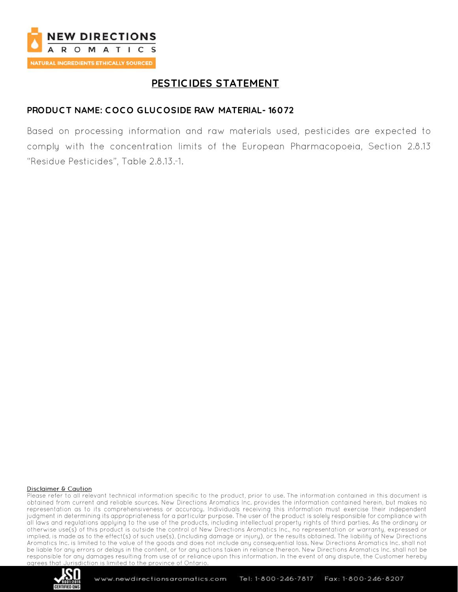

# **PESTIC IDES STATEMENT**

## **PRODUC T NAME: C OC O GLUC OSIDE RAW MATERIAL- 16072**

Based on processing information and raw materials used, pesticides are expected to comply with the concentration limits of the European Pharmacopoeia, Section 2.8.13 "Residue Pesticides". Table 2.8.13.-1.

#### **Disclaimer & Caution**

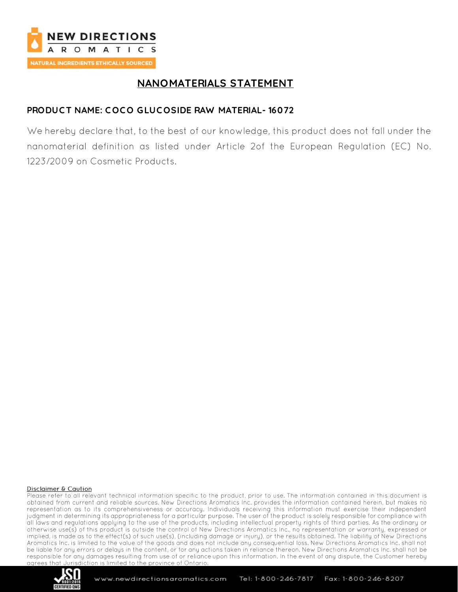

## **NANOMATERIALS STATEMENT**

## **PRODUC T NAME: C OC O GLUC OSIDE RAW MATERIAL- 16072**

We hereby declare that, to the best of our knowledge, this product does not fall under the nanomaterial definition as listed under Article 2of the European Regulation (EC) No. 1223/2009 on Cosmetic Products.

#### **Disclaimer & Caution**

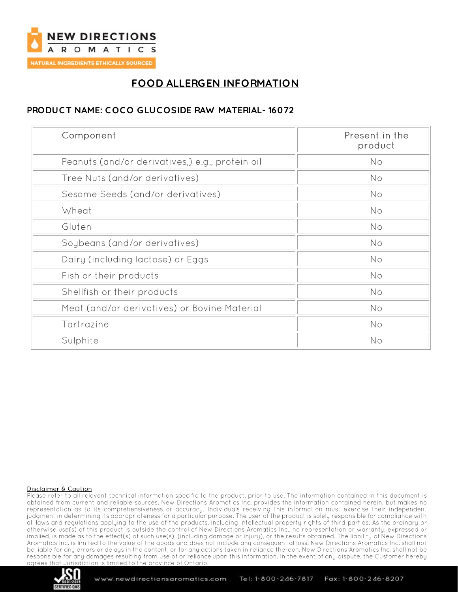

# **FOOD ALLERGEN INFORMATION**

## **PRODUC T NAME: C OC O GLUC OSIDE RAW MATERIAL- 16072**

| Component                                       | Present in the<br>product |
|-------------------------------------------------|---------------------------|
| Peanuts (and/or derivatives,) e.g., protein oil | No                        |
| Tree Nuts (and/or derivatives)                  | No                        |
| Sesame Seeds (and/or derivatives)               | No                        |
| Wheat                                           | <b>No</b>                 |
| Gluten                                          | No                        |
| Soybeans (and/or derivatives)                   | No                        |
| Dairy (including lactose) or Eggs               | No                        |
| Fish or their products                          | No                        |
| Shellfish or their products                     | No                        |
| Meat (and/or derivatives) or Bovine Material    | No                        |
| Tartrazine                                      | No                        |
| Sulphite                                        | No                        |

#### **Disclaimer & Caution**

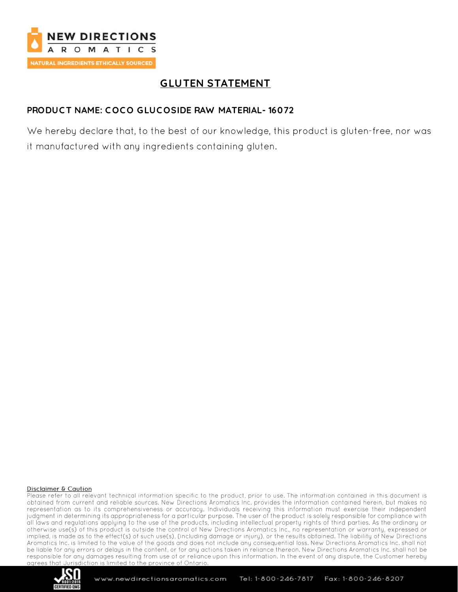

## **GLUTEN STATEMENT**

## **PRODUC T NAME: C OC O GLUC OSIDE RAW MATERIAL- 16072**

We hereby declare that, to the best of our knowledge, this product is gluten-free, nor was it manufactured with any ingredients containing gluten.

#### Disclaimer & Caution

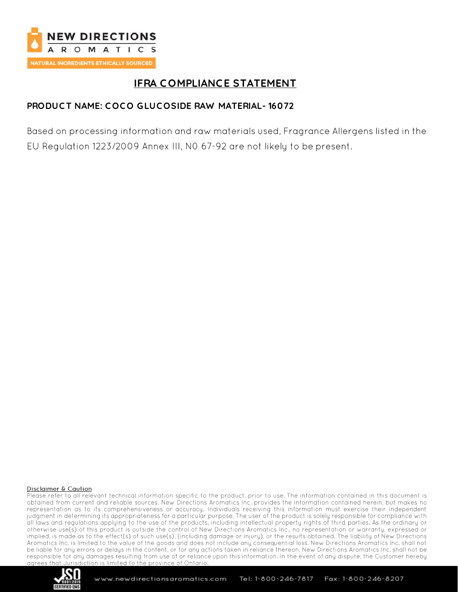

# **IFRA C OMPLIANCE STATEMENT**

## **PRODUC T NAME: C OC O GLUC OSIDE RAW MATERIAL- 16072**

Based on processing information and raw materials used, Fragrance Allergens listed in the EU Regulation 1223/2009 Annex III, NO 67-92 are not likely to be present.

#### Disclaimer & Caution

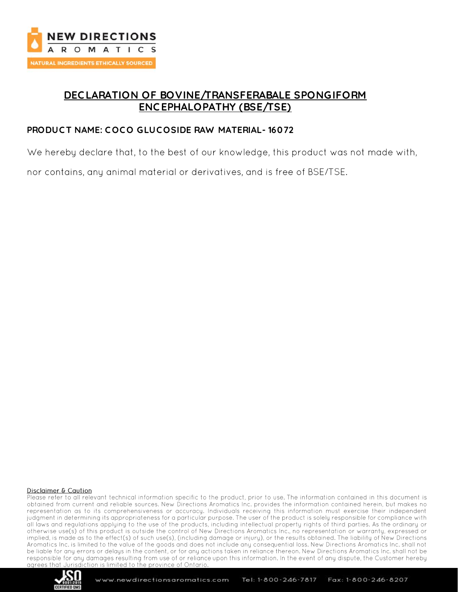

## **DEC LARATION OF BOVINE/TRANSFERABALE SPONGIFORM ENC EPHALOPATHY (BSE/TSE)**

### **PRODUC T NAME: C OC O GLUC OSIDE RAW MATERIAL- 16072**

We hereby declare that, to the best of our knowledge, this product was not made with,

nor contains, any animal material or derivatives, and is free of BSE/TSE.

#### Disclaimer & Caution

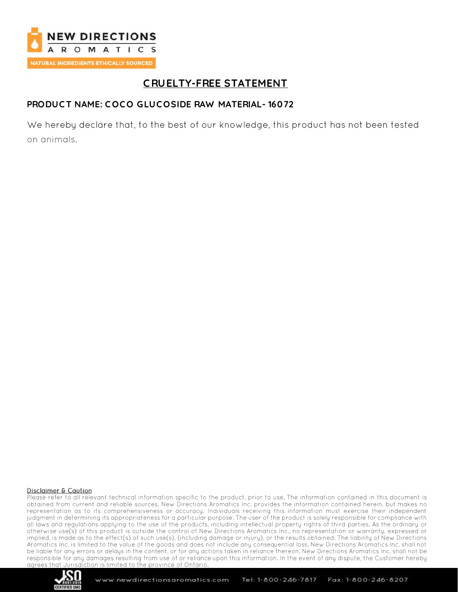

# **C RUELTY-FREE STATEMENT**

## **PRODUC T NAME: C OC O GLUC OSIDE RAW MATERIAL- 16072**

We hereby declare that, to the best of our knowledge, this product has not been tested on animals.

#### Disclaimer & Caution

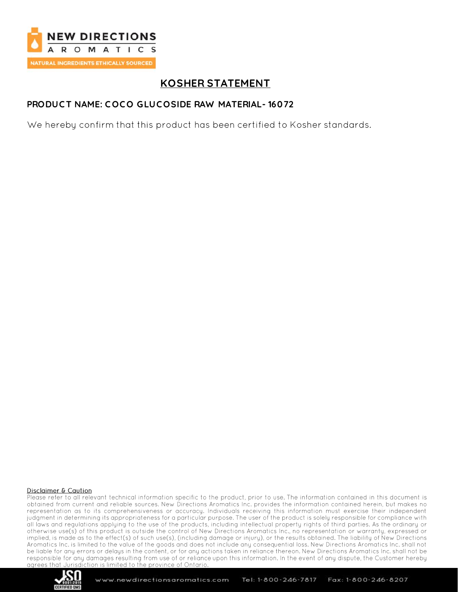

# **KOSHER STATEMENT**

### **PRODUC T NAME: C OC O GLUC OSIDE RAW MATERIAL- 16072**

We hereby confirm that this product has been certified to Kosher standards.

#### Disclaimer & Caution

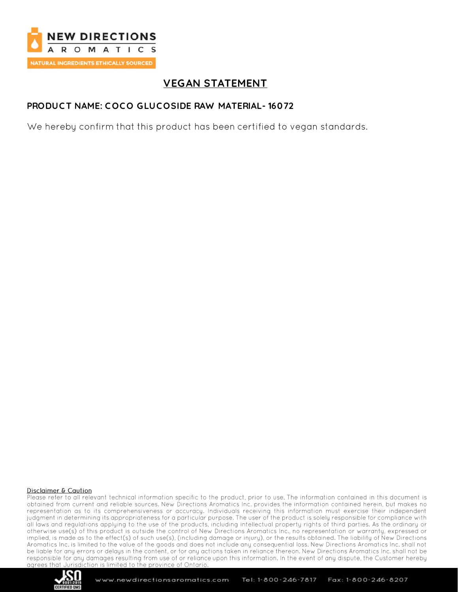

# **VEGAN STATEMENT**

### **PRODUC T NAME: C OC O GLUC OSIDE RAW MATERIAL- 16072**

We hereby confirm that this product has been certified to vegan standards.

#### Disclaimer & Caution

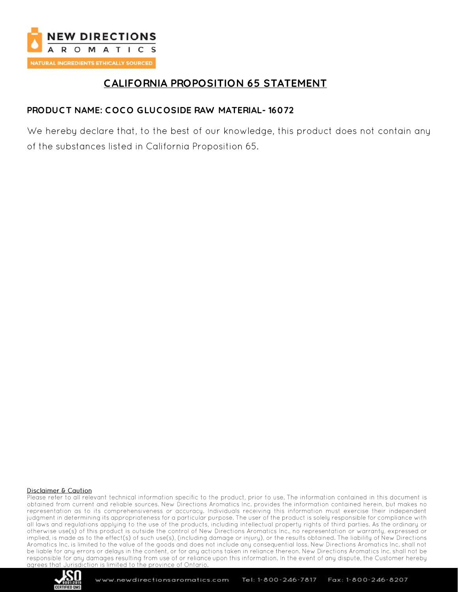

## **C ALIFORNIA PROPOSITION 65 STATEMENT**

## **PRODUC T NAME: C OC O GLUC OSIDE RAW MATERIAL- 16072**

We hereby declare that, to the best of our knowledge, this product does not contain any of the substances listed in California Proposition 65.

#### Disclaimer & Caution